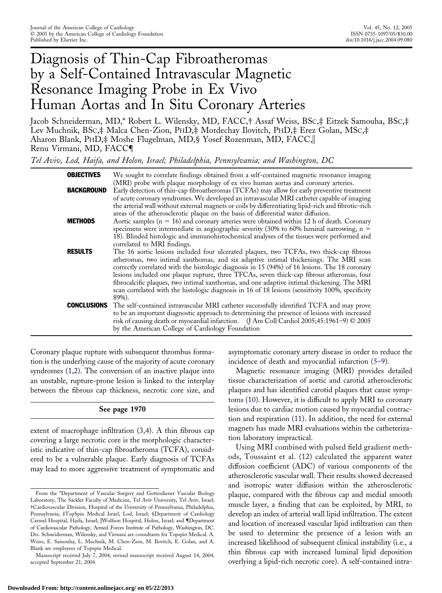# Diagnosis of Thin-Cap Fibroatheromas by a Self-Contained Intravascular Magnetic Resonance Imaging Probe in Ex Vivo Human Aortas and In Situ Coronary Arteries

Jacob Schneiderman, MD,\* Robert L. Wilensky, MD, FACC,† Assaf Weiss, BSC,‡ Eitzek Samouha, BSC,‡ Lev Muchnik, BSC,‡ Malca Chen-Zion, PHD,‡ Mordechay Ilovitch, PHD,‡ Erez Golan, MSC,‡ Aharon Blank, PHD,‡ Moshe Flugelman, MD,§ Yosef Rozenman, MD, FACC, Renu Virmani, MD, FACC¶

*Tel Aviv, Lod, Haifa, and Holon, Israel; Philadelphia, Pennsylvania; and Washington, DC*

| <b>OBJECTIVES</b> | We sought to correlate findings obtained from a self-contained magnetic resonance imaging<br>(MRI) probe with plaque morphology of ex vivo human aortas and coronary arteries.                                                                                                                                                                                                                                                                                                                                                                                                           |
|-------------------|------------------------------------------------------------------------------------------------------------------------------------------------------------------------------------------------------------------------------------------------------------------------------------------------------------------------------------------------------------------------------------------------------------------------------------------------------------------------------------------------------------------------------------------------------------------------------------------|
| <b>BACKGROUND</b> | Early detection of thin-cap fibroatheromas (TCFAs) may allow for early preventive treatment<br>of acute coronary syndromes. We developed an intravascular MRI catheter capable of imaging<br>the arterial wall without external magnets or coils by differentiating lipid-rich and fibrotic-rich<br>areas of the atherosclerotic plaque on the basis of differential water diffusion.                                                                                                                                                                                                    |
| <b>METHODS</b>    | Aortic samples ( $n = 16$ ) and coronary arteries were obtained within 12 h of death. Coronary<br>specimens were intermediate in angiographic severity (30% to 60% luminal narrowing, $n =$<br>18). Blinded histologic and immunohistochemical analyses of the tissues were performed and<br>correlated to MRI findings.                                                                                                                                                                                                                                                                 |
| <b>RESULTS</b>    | The 16 aortic lesions included four ulcerated plaques, two TCFAs, two thick-cap fibrous<br>atheromas, two intimal xanthomas, and six adaptive intimal thickenings. The MRI scan<br>correctly correlated with the histologic diagnosis in 15 (94%) of 16 lesions. The 18 coronary<br>lesions included one plaque rupture, three TFCAs, seven thick-cap fibrous atheromas, four<br>fibrocalcific plaques, two intimal xanthomas, and one adaptive intimal thickening. The MRI<br>scan correlated with the histologic diagnosis in 16 of 18 lesions (sensitivity 100%, specificity<br>89%). |
|                   | <b>CONCLUSIONS</b> The self-contained intravascular MRI catheter successfully identified TCFA and may prove<br>to be an important diagnostic approach to determining the presence of lesions with increased<br>risk of causing death or myocardial infarction. (J Am Coll Cardiol 2005;45:1961-9) © 2005<br>by the American College of Cardiology Foundation                                                                                                                                                                                                                             |

Coronary plaque rupture with subsequent thrombus formation is the underlying cause of the majority of acute coronary syndromes [\(1,2\)](#page-7-0). The conversion of an inactive plaque into an unstable, rupture-prone lesion is linked to the interplay between the fibrous cap thickness, necrotic core size, and

## **See page 1970**

extent of macrophage infiltration [\(3,4\)](#page-7-0). A thin fibrous cap covering a large necrotic core is the morphologic characteristic indicative of thin-cap fibroatheroma (TCFA), considered to be a vulnerable plaque. Early diagnosis of TCFAs may lead to more aggressive treatment of symptomatic and asymptomatic coronary artery disease in order to reduce the incidence of death and myocardial infarction [\(5–](#page-7-0)[9\).](#page-8-0)

Magnetic resonance imaging (MRI) provides detailed tissue characterization of aortic and carotid atherosclerotic plaques and has identified carotid plaques that cause symptoms [\(10\)](#page-8-0). However, it is difficult to apply MRI to coronary lesions due to cardiac motion caused by myocardial contraction and respiration [\(11\)](#page-8-0). In addition, the need for external magnets has made MRI evaluations within the catheterization laboratory impractical.

Using MRI combined with pulsed field gradient methods, Toussaint et al. [\(12\)](#page-8-0) calculated the apparent water diffusion coefficient (ADC) of various components of the atherosclerotic vascular wall. Their results showed decreased and isotropic water diffusion within the atherosclerotic plaque, compared with the fibrous cap and medial smooth muscle layer, a finding that can be exploited, by MRI, to develop an index of arterial wall lipid infiltration. The extent and location of increased vascular lipid infiltration can then be used to determine the presence of a lesion with an increased likelihood of subsequent clinical instability (i.e., a thin fibrous cap with increased luminal lipid deposition overlying a lipid-rich necrotic core). A self-contained intra-

From the \*Department of Vascular Surgery and Gottesdiener Vascular Biology Laboratory, The Sackler Faculty of Medicine, Tel Aviv University, Tel Aviv, Israel; †Cardiovascular Division, Hospital of the University of Pennsylvania, Philadelphia, Pennsylvania; ‡TopSpin Medical Israel, Lod, Israel; §Department of Cardiology Carmel Hospital, Haifa, Israel; Wolfson Hospital, Holon, Israel; and ¶Department of Cardiovascular Pathology, Armed Forces Institute of Pathology, Washington, DC. Drs. Schneiderman, Wilensky, and Virmani are consultants for Topspin Medical. A. Weiss, E. Samouha, L. Muchnik, M. Chen-Zion, M. Ilovitch, E. Golan, and A. Blank are employees of Topspin Medical.

Manuscript received July 7, 2004; revised manuscript received August 14, 2004, accepted September 21, 2004.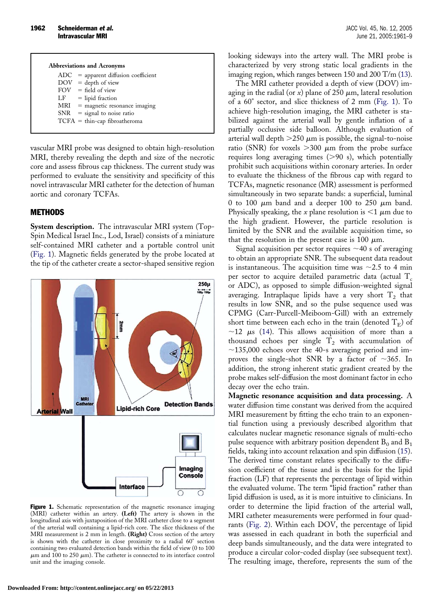| <b>Abbreviations and Acronyms</b> |                                        |  |  |  |
|-----------------------------------|----------------------------------------|--|--|--|
|                                   | $ADC = apparent diffusion coefficient$ |  |  |  |
|                                   | $DOV = depth of view$                  |  |  |  |
|                                   | $FOV = field of view$                  |  |  |  |
|                                   | $LF = lipid fraction$                  |  |  |  |
|                                   | $MRI$ = magnetic resonance imaging     |  |  |  |
|                                   | $SNR = signal to noise ratio$          |  |  |  |
|                                   | $TCFA = thin-cap fibroatheroma$        |  |  |  |
|                                   |                                        |  |  |  |

vascular MRI probe was designed to obtain high-resolution MRI, thereby revealing the depth and size of the necrotic core and assess fibrous cap thickness. The current study was performed to evaluate the sensitivity and specificity of this novel intravascular MRI catheter for the detection of human aortic and coronary TCFAs.

## **METHODS**

**System description.** The intravascular MRI system (Top-Spin Medical Israel Inc., Lod, Israel) consists of a miniature self-contained MRI catheter and a portable control unit (Fig. 1). Magnetic fields generated by the probe located at the tip of the catheter create a sector-shaped sensitive region



Figure 1. Schematic representation of the magnetic resonance imaging (MRI) catheter within an artery. **(Left)** The artery is shown in the longitudinal axis with juxtaposition of the MRI catheter close to a segment of the arterial wall containing a lipid-rich core. The slice thickness of the MRI measurement is 2 mm in length. **(Right)** Cross section of the artery is shown with the catheter in close proximity to a radial 60° section containing two evaluated detection bands within the field of view (0 to 100  $\mu$ m and 100 to 250  $\mu$ m). The catheter is connected to its interface control unit and the imaging console.

looking sideways into the artery wall. The MRI probe is characterized by very strong static local gradients in the imaging region, which ranges between 150 and 200 T/m [\(13\)](#page-8-0).

The MRI catheter provided a depth of view (DOV) imaging in the radial (or  $x$ ) plane of 250  $\mu$ m, lateral resolution of a 60° sector, and slice thickness of 2 mm (Fig. 1). To achieve high-resolution imaging, the MRI catheter is stabilized against the arterial wall by gentle inflation of a partially occlusive side balloon. Although evaluation of arterial wall depth  $>$  250  $\mu$ m is possible, the signal-to-noise ratio (SNR) for voxels  $>$  300  $\mu$ m from the probe surface requires long averaging times (>90 s), which potentially prohibit such acquisitions within coronary arteries. In order to evaluate the thickness of the fibrous cap with regard to TCFAs, magnetic resonance (MR) assessment is performed simultaneously in two separate bands: a superficial, luminal 0 to 100  $\mu$ m band and a deeper 100 to 250  $\mu$ m band. Physically speaking, the *x* plane resolution is  $\leq 1 \mu$ m due to the high gradient. However, the particle resolution is limited by the SNR and the available acquisition time, so that the resolution in the present case is 100  $\mu$ m.

Signal acquisition per sector requires  $\sim$ 40 s of averaging to obtain an appropriate SNR. The subsequent data readout is instantaneous. The acquisition time was  $\sim$ 2.5 to 4 min per sector to acquire detailed parametric data (actual  $T_c$ or ADC), as opposed to simple diffusion-weighted signal averaging. Intraplaque lipids have a very short  $T_2$  that results in low SNR, and so the pulse sequence used was CPMG (Carr-Purcell-Meiboom-Gill) with an extremely short time between each echo in the train (denoted  $T_E$ ) of  $\sim$ 12  $\mu$ s [\(14\)](#page-8-0). This allows acquisition of more than a thousand echoes per single  $T_2$  with accumulation of  $\sim$ 135,000 echoes over the 40-s averaging period and improves the single-shot SNR by a factor of  $\sim$ 365. In addition, the strong inherent static gradient created by the probe makes self-diffusion the most dominant factor in echo decay over the echo train.

**Magnetic resonance acquisition and data processing.** A water diffusion time constant was derived from the acquired MRI measurement by fitting the echo train to an exponential function using a previously described algorithm that calculates nuclear magnetic resonance signals of multi-echo pulse sequence with arbitrary position dependent  $B_0$  and  $B_1$ fields, taking into account relaxation and spin diffusion [\(15\)](#page-8-0). The derived time constant relates specifically to the diffusion coefficient of the tissue and is the basis for the lipid fraction (LF) that represents the percentage of lipid within the evaluated volume. The term "lipid fraction" rather than lipid diffusion is used, as it is more intuitive to clinicians. In order to determine the lipid fraction of the arterial wall, MRI catheter measurements were performed in four quadrants [\(Fig. 2\)](#page-2-0). Within each DOV, the percentage of lipid was assessed in each quadrant in both the superficial and deep bands simultaneously, and the data were integrated to produce a circular color-coded display (see subsequent text). The resulting image, therefore, represents the sum of the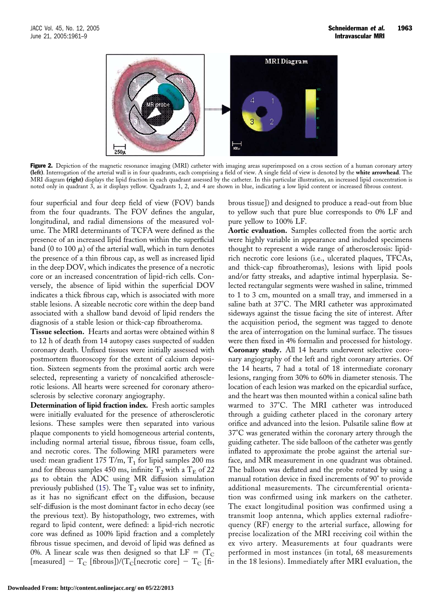<span id="page-2-0"></span>

Figure 2. Depiction of the magnetic resonance imaging (MRI) catheter with imaging areas superimposed on a cross section of a human coronary artery **(left)**. Interrogation of the arterial wall is in four quadrants, each comprising a field of view. A single field of view is denoted by the **white arrowhead**. The MRI diagram **(right)** displays the lipid fraction in each quadrant assessed by the catheter. In this particular illustration, an increased lipid concentration is noted only in quadrant 3, as it displays yellow. Quadrants 1, 2, and 4 are shown in blue, indicating a low lipid content or increased fibrous content.

four superficial and four deep field of view (FOV) bands from the four quadrants. The FOV defines the angular, longitudinal, and radial dimensions of the measured volume. The MRI determinants of TCFA were defined as the presence of an increased lipid fraction within the superficial band (0 to 100  $\mu$ ) of the arterial wall, which in turn denotes the presence of a thin fibrous cap, as well as increased lipid in the deep DOV, which indicates the presence of a necrotic core or an increased concentration of lipid-rich cells. Conversely, the absence of lipid within the superficial DOV indicates a thick fibrous cap, which is associated with more stable lesions. A sizeable necrotic core within the deep band associated with a shallow band devoid of lipid renders the diagnosis of a stable lesion or thick-cap fibroatheroma.

**Tissue selection.** Hearts and aortas were obtained within 8 to 12 h of death from 14 autopsy cases suspected of sudden coronary death. Unfixed tissues were initially assessed with postmortem fluoroscopy for the extent of calcium deposition. Sixteen segments from the proximal aortic arch were selected, representing a variety of noncalcified atherosclerotic lesions. All hearts were screened for coronary atherosclerosis by selective coronary angiography.

**Determination of lipid fraction index.** Fresh aortic samples were initially evaluated for the presence of atherosclerotic lesions. These samples were then separated into various plaque components to yield homogeneous arterial contents, including normal arterial tissue, fibrous tissue, foam cells, and necrotic cores. The following MRI parameters were used: mean gradient 175 T/m,  $T_1$  for lipid samples 200 ms and for fibrous samples 450 ms, infinite  $T_2$  with a  $T_E$  of 22  $\mu$ s to obtain the ADC using MR diffusion simulation previously published [\(15\)](#page-8-0). The  $T_2$  value was set to infinity, as it has no significant effect on the diffusion, because self-diffusion is the most dominant factor in echo decay (see the previous text). By histopathology, two extremes, with regard to lipid content, were defined: a lipid-rich necrotic core was defined as 100% lipid fraction and a completely fibrous tissue specimen, and devoid of lipid was defined as 0%. A linear scale was then designed so that  $LF = (T_C)$ [measured]  $-T_C$  [fibrous])/(T<sub>C</sub>[necrotic core]  $-T_C$  [fibrous tissue]) and designed to produce a read-out from blue to yellow such that pure blue corresponds to 0% LF and pure yellow to 100% LF.

**Aortic evaluation.** Samples collected from the aortic arch were highly variable in appearance and included specimens thought to represent a wide range of atherosclerosis: lipidrich necrotic core lesions (i.e., ulcerated plaques, TFCAs, and thick-cap fibroatheromas), lesions with lipid pools and/or fatty streaks, and adaptive intimal hyperplasia. Selected rectangular segments were washed in saline, trimmed to 1 to 3 cm, mounted on a small tray, and immersed in a saline bath at 37°C. The MRI catheter was approximated sideways against the tissue facing the site of interest. After the acquisition period, the segment was tagged to denote the area of interrogation on the luminal surface. The tissues were then fixed in 4% formalin and processed for histology. **Coronary study.** All 14 hearts underwent selective coronary angiography of the left and right coronary arteries. Of the 14 hearts, 7 had a total of 18 intermediate coronary lesions, ranging from 30% to 60% in diameter stenosis. The location of each lesion was marked on the epicardial surface, and the heart was then mounted within a conical saline bath warmed to 37°C. The MRI catheter was introduced through a guiding catheter placed in the coronary artery orifice and advanced into the lesion. Pulsatile saline flow at 37°C was generated within the coronary artery through the guiding catheter. The side balloon of the catheter was gently inflated to approximate the probe against the arterial surface, and MR measurement in one quadrant was obtained. The balloon was deflated and the probe rotated by using a manual rotation device in fixed increments of 90° to provide additional measurements. The circumferential orientation was confirmed using ink markers on the catheter. The exact longitudinal position was confirmed using a transmit loop antenna, which applies external radiofrequency (RF) energy to the arterial surface, allowing for precise localization of the MRI receiving coil within the ex vivo artery. Measurements at four quadrants were performed in most instances (in total, 68 measurements in the 18 lesions). Immediately after MRI evaluation, the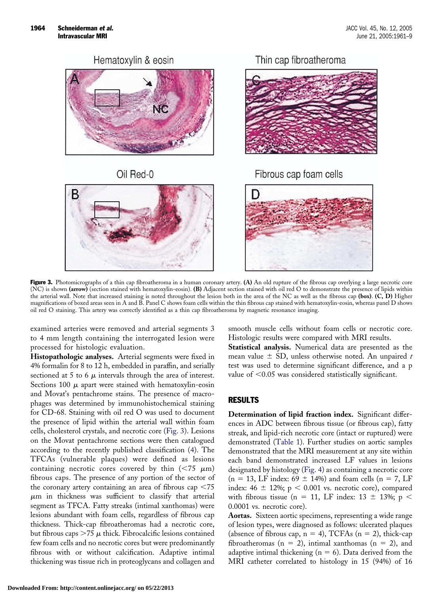<span id="page-3-0"></span>

Figure 3. Photomicrographs of a thin cap fibroatheroma in a human coronary artery. **(A)** An old rupture of the fibrous cap overlying a large necrotic core (NC) is shown **(arrow)** (section stained with hematoxylin-eosin). **(B)** Adjacent section stained with oil red O to demonstrate the presence of lipids within the arterial wall. Note that increased staining is noted throughout the lesion both in the area of the NC as well as the fibrous cap **(box)**. **(C, D)** Higher magnifications of boxed areas seen in A and B. Panel C shows foam cells within the thin fibrous cap stained with hematoxylin-eosin, whereas panel D shows oil red O staining. This artery was correctly identified as a thin cap fibroatheroma by magnetic resonance imaging.

examined arteries were removed and arterial segments 3 to 4 mm length containing the interrogated lesion were processed for histologic evaluation.

**Histopathologic analyses.** Arterial segments were fixed in 4% formalin for 8 to 12 h, embedded in paraffin, and serially sectioned at 5 to 6  $\mu$  intervals through the area of interest. Sections 100  $\mu$  apart were stained with hematoxylin-eosin and Movat's pentachrome stains. The presence of macrophages was determined by immunohistochemical staining for CD-68. Staining with oil red O was used to document the presence of lipid within the arterial wall within foam cells, cholesterol crystals, and necrotic core (Fig. 3). Lesions on the Movat pentachrome sections were then catalogued according to the recently published classification [\(4\)](#page-7-0). The TFCAs (vulnerable plaques) were defined as lesions containing necrotic cores covered by thin  $(< 75 \mu m)$ fibrous caps. The presence of any portion of the sector of the coronary artery containing an area of fibrous cap  $\leq 75$  $\mu$ m in thickness was sufficient to classify that arterial segment as TFCA. Fatty streaks (intimal xanthomas) were lesions abundant with foam cells, regardless of fibrous cap thickness. Thick-cap fibroatheromas had a necrotic core, but fibrous caps  $>$  75  $\mu$  thick. Fibrocalcific lesions contained few foam cells and no necrotic cores but were predominantly fibrous with or without calcification. Adaptive intimal thickening was tissue rich in proteoglycans and collagen and

smooth muscle cells without foam cells or necrotic core. Histologic results were compared with MRI results.

**Statistical analysis.** Numerical data are presented as the mean value  $\pm$  SD, unless otherwise noted. An unpaired  $t$ test was used to determine significant difference, and a p value of  $\leq 0.05$  was considered statistically significant.

## RESULTS

**Determination of lipid fraction index.** Significant differences in ADC between fibrous tissue (or fibrous cap), fatty streak, and lipid-rich necrotic core (intact or ruptured) were demonstrated [\(Table 1\)](#page-4-0). Further studies on aortic samples demonstrated that the MRI measurement at any site within each band demonstrated increased LF values in lesions designated by histology [\(Fig. 4\)](#page-4-0) as containing a necrotic core  $(n = 13, LF$  index:  $69 \pm 14\%)$  and foam cells  $(n = 7, LF)$ index:  $46 \pm 12\%$ ; p  $\lt$  0.001 vs. necrotic core), compared with fibrous tissue (n = 11, LF index:  $13 \pm 13\%$ ; p < 0.0001 vs. necrotic core).

**Aortas.** Sixteen aortic specimens, representing a wide range of lesion types, were diagnosed as follows: ulcerated plaques (absence of fibrous cap,  $n = 4$ ), TCFAs ( $n = 2$ ), thick-cap fibroatheromas ( $n = 2$ ), intimal xanthomas ( $n = 2$ ), and adaptive intimal thickening ( $n = 6$ ). Data derived from the MRI catheter correlated to histology in 15 (94%) of 16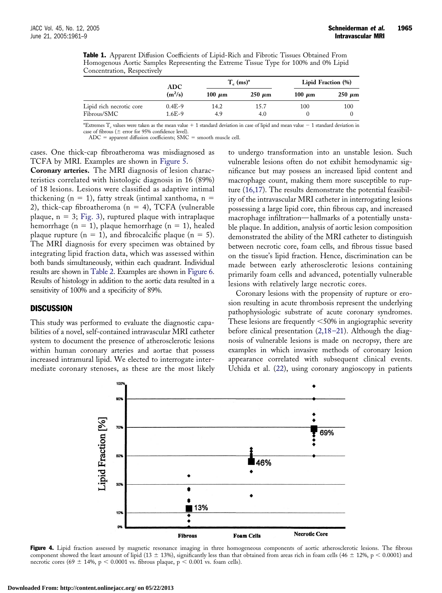<span id="page-4-0"></span>

|  | Table 1. Apparent Diffusion Coefficients of Lipid-Rich and Fibrotic Tissues Obtained From |  |  |  |  |  |
|--|-------------------------------------------------------------------------------------------|--|--|--|--|--|
|  | Homogenous Aortic Samples Representing the Extreme Tissue Type for 100% and 0% Lipid      |  |  |  |  |  |
|  | Concentration, Respectively                                                               |  |  |  |  |  |

|                                         | ADC                  |             | $T_c$ (ms) <sup>*</sup> | Lipid Fraction (%) |             |  |
|-----------------------------------------|----------------------|-------------|-------------------------|--------------------|-------------|--|
|                                         | $(m^2/s)$            | 100 $\mu$ m | $250 \mu m$             | 100 $\mu$ m        | $250 \mu m$ |  |
| Lipid rich necrotic core<br>Fibrous/SMC | $0.4E-9$<br>$1.6E-9$ | 14.2<br>4.9 | 15.7<br>4.0             | 100                | 100         |  |

\*Extremes  $T_c$  values were taken as the mean value  $+1$  standard deviation in case of lipid and mean value  $-1$  standard deviation in case of fibrous ( $\pm$  error for 95% confidence level).

 $ADC = apparent diffusion coefficients; SMC = smooth muscle cell.$ 

cases. One thick-cap fibroatheroma was misdiagnosed as TCFA by MRI. Examples are shown in [Figure 5.](#page-5-0)

**Coronary arteries.** The MRI diagnosis of lesion characteristics correlated with histologic diagnosis in 16 (89%) of 18 lesions. Lesions were classified as adaptive intimal thickening ( $n = 1$ ), fatty streak (intimal xanthoma,  $n =$ 2), thick-cap fibroatheroma ( $n = 4$ ), TCFA (vulnerable plaque,  $n = 3$ ; [Fig. 3\)](#page-3-0), ruptured plaque with intraplaque hemorrhage ( $n = 1$ ), plaque hemorrhage ( $n = 1$ ), healed plaque rupture ( $n = 1$ ), and fibrocalcific plaque ( $n = 5$ ). The MRI diagnosis for every specimen was obtained by integrating lipid fraction data, which was assessed within both bands simultaneously, within each quadrant. Individual results are shown in [Table 2.](#page-6-0) Examples are shown in [Figure 6.](#page-7-0) Results of histology in addition to the aortic data resulted in a sensitivity of 100% and a specificity of 89%.

## **DISCUSSION**

This study was performed to evaluate the diagnostic capabilities of a novel, self-contained intravascular MRI catheter system to document the presence of atherosclerotic lesions within human coronary arteries and aortae that possess increased intramural lipid. We elected to interrogate intermediate coronary stenoses, as these are the most likely to undergo transformation into an unstable lesion. Such vulnerable lesions often do not exhibit hemodynamic significance but may possess an increased lipid content and macrophage count, making them more susceptible to rupture [\(16,17\)](#page-8-0). The results demonstrate the potential feasibility of the intravascular MRI catheter in interrogating lesions possessing a large lipid core, thin fibrous cap, and increased macrophage infiltration—hallmarks of a potentially unstable plaque. In addition, analysis of aortic lesion composition demonstrated the ability of the MRI catheter to distinguish between necrotic core, foam cells, and fibrous tissue based on the tissue's lipid fraction. Hence, discrimination can be made between early atherosclerotic lesions containing primarily foam cells and advanced, potentially vulnerable lesions with relatively large necrotic cores.

Coronary lesions with the propensity of rupture or erosion resulting in acute thrombosis represent the underlying pathophysiologic substrate of acute coronary syndromes. These lesions are frequently  $\leq 50\%$  in angiographic severity before clinical presentation [\(2,](#page-7-0)[18–21\).](#page-8-0) Although the diagnosis of vulnerable lesions is made on necropsy, there are examples in which invasive methods of coronary lesion appearance correlated with subsequent clinical events. Uchida et al. [\(22\)](#page-8-0), using coronary angioscopy in patients



Figure 4. Lipid fraction assessed by magnetic resonance imaging in three homogeneous components of aortic atherosclerotic lesions. The fibrous component showed the least amount of lipid (13  $\pm$  13%), significantly less than that obtained from areas rich in foam cells (46  $\pm$  12%, p < 0.0001) and necrotic cores (69  $\pm$  14%, p < 0.0001 vs. fibrous plaque, p < 0.001 vs. foam cells).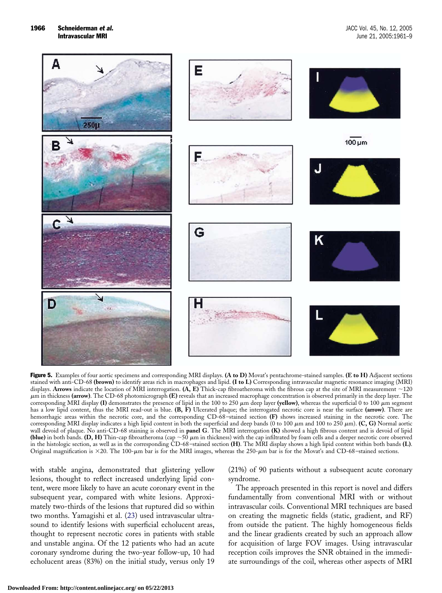<span id="page-5-0"></span>

Figure 5. Examples of four aortic specimens and corresponding MRI displays. **(A to D)** Movat's pentachrome-stained samples. **(E to H)** Adjacent sections stained with anti-CD-68 **(brown)** to identify areas rich in macrophages and lipid. **(I to L)** Corresponding intravascular magnetic resonance imaging (MRI) displays. **Arrows** indicate the location of MRI interrogation.  $(A, E)$  Thick-cap fibroatheroma with the fibrous cap at the site of MRI measurement  $\sim$ 120 m in thickness **(arrow)**. The CD-68 photomicrograph **(E)** reveals that an increased macrophage concentration is observed primarily in the deep layer. The corresponding MRI display  $(I)$  demonstrates the presence of lipid in the 100 to 250  $\mu$ m deep layer (yellow), whereas the superficial 0 to 100  $\mu$ m segment has a low lipid content, thus the MRI read-out is blue. **(B, F)** Ulcerated plaque; the interrogated necrotic core is near the surface **(arrow)**. There are hemorrhagic areas within the necrotic core, and the corresponding CD-68–stained section **(F)** shows increased staining in the necrotic core. The corresponding MRI display indicates a high lipid content in both the superficial and deep bands (0 to 100  $\mu$ m and 100 to 250  $\mu$ m). **(C, G)** Normal aortic wall devoid of plaque. No anti-CD-68 staining is observed in **panel G**. The MRI interrogation **(K)** showed a high fibrous content and is devoid of lipid **(blue)** in both bands. **(D, H)** Thin-cap fibroatheroma (cap  $\sim$  50  $\mu$ m in thickness) with the cap infiltrated by foam cells and a deeper necrotic core observed in the histologic section, as well as in the corresponding CD-68–stained section **(H)**. The MRI display shows a high lipid content within both bands **(L)**. Original magnification is  $\times$ 20. The 100- $\mu$ m bar is for the MRI images, whereas the 250- $\mu$ m bar is for the Movat's and CD-68-stained sections.

with stable angina, demonstrated that glistering yellow lesions, thought to reflect increased underlying lipid content, were more likely to have an acute coronary event in the subsequent year, compared with white lesions. Approximately two-thirds of the lesions that ruptured did so within two months. Yamagishi et al. [\(23\)](#page-8-0) used intravascular ultrasound to identify lesions with superficial echolucent areas, thought to represent necrotic cores in patients with stable and unstable angina. Of the 12 patients who had an acute coronary syndrome during the two-year follow-up, 10 had echolucent areas (83%) on the initial study, versus only 19 (21%) of 90 patients without a subsequent acute coronary syndrome.

The approach presented in this report is novel and differs fundamentally from conventional MRI with or without intravascular coils. Conventional MRI techniques are based on creating the magnetic fields (static, gradient, and RF) from outside the patient. The highly homogeneous fields and the linear gradients created by such an approach allow for acquisition of large FOV images. Using intravascular reception coils improves the SNR obtained in the immediate surroundings of the coil, whereas other aspects of MRI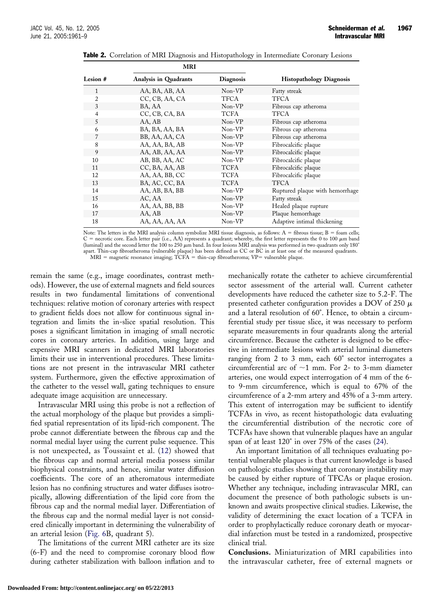|                | <b>IVIKI</b>                 |                  |                                 |
|----------------|------------------------------|------------------|---------------------------------|
| Lesion #       | <b>Analysis in Quadrants</b> | <b>Diagnosis</b> | <b>Histopathology Diagnosis</b> |
| 1              | AA, BA, AB, AA               | Non-VP           | Fatty streak                    |
| $\overline{2}$ | CC, CB, AA, CA               | TFCA             | <b>TFCA</b>                     |
| 3              | BA, AA                       | Non-VP           | Fibrous cap atheroma            |
| $\overline{4}$ | CC, CB, CA, BA               | TCFA             | <b>TFCA</b>                     |
| 5              | AA, AB                       | Non-VP           | Fibrous cap atheroma            |
| 6              | BA, BA, AA, BA               | Non-VP           | Fibrous cap atheroma            |
| 7              | BB, AA, AA, CA               | Non-VP           | Fibrous cap atheroma            |
| 8              | AA, AA, BA, AB               | Non-VP           | Fibrocalcific plaque            |
| 9              | AA, AB, AA, AA               | Non-VP           | Fibrocalcific plaque            |
| 10             | AB, BB, AA, AC               | Non-VP           | Fibrocalcific plaque            |
| 11             | CC, BA, AA, AB               | TCFA             | Fibrocalcific plaque            |
| 12             | AA, AA, BB, CC               | TCFA             | Fibrocalcific plaque            |
| 13             | BA, AC, CC, BA               | TCFA             | <b>TFCA</b>                     |
| 14             | AA, AB, BA, BB               | Non-VP           | Ruptured plaque with hemorrhage |
| 15             | AC, AA                       | Non-VP           | Fatty streak                    |
| 16             | AA, AA, BB, BB               | Non-VP           | Healed plaque rupture           |
| 17             | AA, AB                       | Non-VP           | Plaque hemorrhage               |
| 18             | AA, AA, AA, AA               | Non-VP           | Adaptive intimal thickening     |

<span id="page-6-0"></span>**Table 2.** Correlation of MRI Diagnosis and Histopathology in Intermediate Coronary Lesions

**MRI**

Note: The letters in the MRI analysis column symbolize MRI tissue diagnosis, as follows:  $A =$  fibrous tissue;  $B =$  foam cells;  $C =$  necrotic core. Each letter pair (i.e., AA) represents a quadrant; whereby, the first letter represents the 0 to 100  $\mu$ m band (luminal) and the second letter the 100 to 250  $\mu$ m band. In four lesions MRI analysis was performed in two quadrants only 180° apart. Thin-cap fibroatheroma (vulnerable plaque) has been defined as CC or BC in at least one of the measured quadrants.

 $MRI$  = magnetic resonance imaging;  $\overline{TCFA}$  = thin-cap fibroatheroma;  $VP$  = vulnerable plaque.

remain the same (e.g., image coordinates, contrast methods). However, the use of external magnets and field sources results in two fundamental limitations of conventional techniques: relative motion of coronary arteries with respect to gradient fields does not allow for continuous signal integration and limits the in-slice spatial resolution. This poses a significant limitation in imaging of small necrotic cores in coronary arteries. In addition, using large and expensive MRI scanners in dedicated MRI laboratories limits their use in interventional procedures. These limitations are not present in the intravascular MRI catheter system. Furthermore, given the effective approximation of the catheter to the vessel wall, gating techniques to ensure adequate image acquisition are unnecessary.

Intravascular MRI using this probe is not a reflection of the actual morphology of the plaque but provides a simplified spatial representation of its lipid-rich component. The probe cannot differentiate between the fibrous cap and the normal medial layer using the current pulse sequence. This is not unexpected, as Toussaint et al. [\(12\)](#page-8-0) showed that the fibrous cap and normal arterial media possess similar biophysical constraints, and hence, similar water diffusion coefficients. The core of an atheromatous intermediate lesion has no confining structures and water diffuses isotropically, allowing differentiation of the lipid core from the fibrous cap and the normal medial layer. Differentiation of the fibrous cap and the normal medial layer is not considered clinically important in determining the vulnerability of an arterial lesion [\(Fig. 6B](#page-7-0), quadrant 5).

The limitations of the current MRI catheter are its size (6-F) and the need to compromise coronary blood flow during catheter stabilization with balloon inflation and to mechanically rotate the catheter to achieve circumferential sector assessment of the arterial wall. Current catheter developments have reduced the catheter size to 5.2-F. The presented catheter configuration provides a DOV of 250  $\mu$ and a lateral resolution of 60°. Hence, to obtain a circumferential study per tissue slice, it was necessary to perform separate measurements in four quadrants along the arterial circumference. Because the catheter is designed to be effective in intermediate lesions with arterial luminal diameters ranging from 2 to 3 mm, each 60° sector interrogates a circumferential arc of  $\sim$ 1 mm. For 2- to 3-mm diameter arteries, one would expect interrogation of 4 mm of the 6 to 9-mm circumference, which is equal to 67% of the circumference of a 2-mm artery and 45% of a 3-mm artery. This extent of interrogation may be sufficient to identify TCFAs in vivo, as recent histopathologic data evaluating the circumferential distribution of the necrotic core of TCFAs have shown that vulnerable plaques have an angular span of at least 120° in over 75% of the cases [\(24\)](#page-8-0).

An important limitation of all techniques evaluating potential vulnerable plaques is that current knowledge is based on pathologic studies showing that coronary instability may be caused by either rupture of TFCAs or plaque erosion. Whether any technique, including intravascular MRI, can document the presence of both pathologic subsets is unknown and awaits prospective clinical studies. Likewise, the validity of determining the exact location of a TCFA in order to prophylactically reduce coronary death or myocardial infarction must be tested in a randomized, prospective clinical trial.

**Conclusions.** Miniaturization of MRI capabilities into the intravascular catheter, free of external magnets or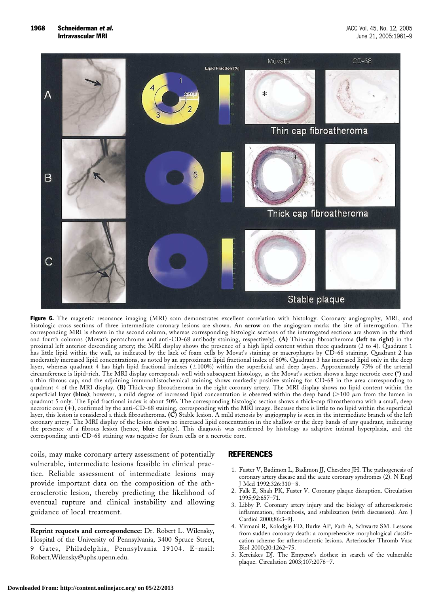<span id="page-7-0"></span>

Figure 6. The magnetic resonance imaging (MRI) scan demonstrates excellent correlation with histology. Coronary angiography, MRI, and histologic cross sections of three intermediate coronary lesions are shown. An **arrow** on the angiogram marks the site of interrogation. The corresponding MRI is shown in the second column, whereas corresponding histologic sections of the interrogated sections are shown in the third and fourth columns (Movat's pentachrome and anti-CD-68 antibody staining, respectively). **(A)** Thin-cap fibroatheroma **(left to right)** in the proximal left anterior descending artery; the MRI display shows the presence of a high lipid content within three quadrants (2 to 4). Quadrant 1 has little lipid within the wall, as indicated by the lack of foam cells by Movat's staining or macrophages by CD-68 staining. Quadrant 2 has moderately increased lipid concentrations, as noted by an approximate lipid fractional index of 60%. Quadrant 3 has increased lipid only in the deep layer, whereas quadrant 4 has high lipid fractional indexes (±100%) within the superficial and deep layers. Approximately 75% of the arterial circumference is lipid-rich. The MRI display corresponds well with subsequent histology, as the Movat's section shows a large necrotic core **(\*)** and a thin fibrous cap, and the adjoining immunohistochemical staining shows markedly positive staining for CD-68 in the area corresponding to quadrant 4 of the MRI display. **(B)** Thick-cap fibroatheroma in the right coronary artery. The MRI display shows no lipid content within the superficial layer (blue); however, a mild degree of increased lipid concentration is observed within the deep band ( $>$ 100  $\mu$ m from the lumen in quadrant 5 only. The lipid fractional index is about 50%. The corresponding histologic section shows a thick-cap fibroatheroma with a small, deep necrotic core **(**-**)**, confirmed by the anti-CD-68 staining, corresponding with the MRI image. Because there is little to no lipid within the superficial layer, this lesion is considered a thick fibroatheroma. **(C)** Stable lesion. A mild stenosis by angiography is seen in the intermediate branch of the left coronary artery. The MRI display of the lesion shows no increased lipid concentration in the shallow or the deep bands of any quadrant, indicating the presence of a fibrous lesion (hence, **blue** display). This diagnosis was confirmed by histology as adaptive intimal hyperplasia, and the corresponding anti-CD-68 staining was negative for foam cells or a necrotic core.

coils, may make coronary artery assessment of potentially vulnerable, intermediate lesions feasible in clinical practice. Reliable assessment of intermediate lesions may provide important data on the composition of the atherosclerotic lesion, thereby predicting the likelihood of eventual rupture and clinical instability and allowing guidance of local treatment.

**Reprint requests and correspondence:** Dr. Robert L. Wilensky, Hospital of the University of Pennsylvania, 3400 Spruce Street, 9 Gates, Philadelphia, Pennsylvania 19104. E-mail: Robert.Wilensky@uphs.upenn.edu.

## REFERENCES

- 1. Fuster V, Badimon L, Badimon JJ, Chesebro JH. The pathogenesis of coronary artery disease and the acute coronary syndromes (2). N Engl J Med 1992;326:310–8.
- 2. Falk E, Shah PK, Fuster V. Coronary plaque disruption. Circulation 1995;92:657–71.
- 3. Libby P. Coronary artery injury and the biology of atherosclerosis: inflammation, thrombosis, and stabilization (with discussion). Am J Cardiol 2000;86:3–9J.
- 4. Virmani R, Kolodgie FD, Burke AP, Farb A, Schwartz SM. Lessons from sudden coronary death: a comprehensive morphological classification scheme for atherosclerotic lesions. Arterioscler Thromb Vasc Biol 2000;20:1262–75.
- 5. Kereiakes DJ. The Emperor's clothes: in search of the vulnerable plaque. Circulation 2003;107:2076–7.